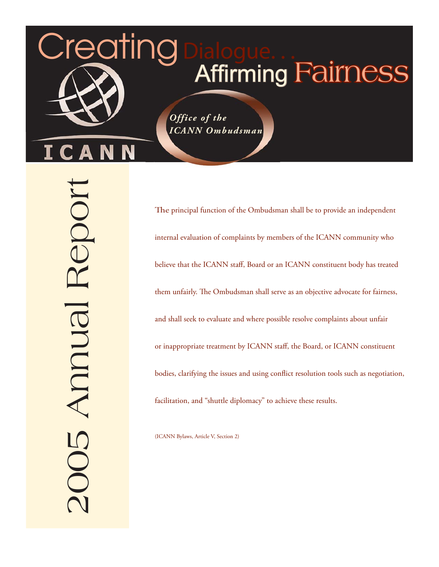# **Affirming Fairness**

*Office of the ICANN Ombudsman*

2005 Annual Report 005 Annual Repor

Creating

N

Δ

The principal function of the Ombudsman shall be to provide an independent internal evaluation of complaints by members of the ICANN community who believe that the ICANN staff, Board or an ICANN constituent body has treated them unfairly. The Ombudsman shall serve as an objective advocate for fairness, and shall seek to evaluate and where possible resolve complaints about unfair or inappropriate treatment by ICANN staff, the Board, or ICANN constituent bodies, clarifying the issues and using conflict resolution tools such as negotiation, facilitation, and "shuttle diplomacy" to achieve these results.

(ICANN Bylaws, Article V, Section 2)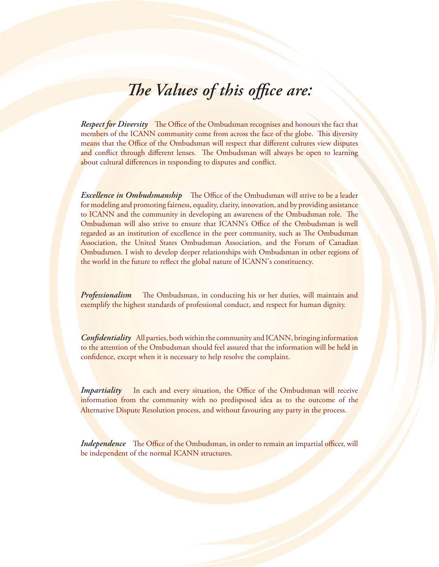# *The Values of this office are:*

*Respect for Diversity* The Office of the Ombudsman recognises and honours the fact that members of the ICANN community come from across the face of the globe. This diversity means that the Office of the Ombudsman will respect that different cultures view disputes and conflict through different lenses. The Ombudsman will always be open to learning about cultural differences in responding to disputes and conflict.

*Excellence in Ombudsmanship* The Office of the Ombudsman will strive to be a leader for modeling and promoting fairness, equality, clarity, innovation, and by providing assistance to ICANN and the community in developing an awareness of the Ombudsman role. The Ombudsman will also strive to ensure that ICANN's Office of the Ombudsman is well regarded as an institution of excellence in the peer community, such as The Ombudsman Association, the United States Ombudsman Association, and the Forum of Canadian Ombudsmen. I wish to develop deeper relationships with Ombudsman in other regions of the world in the future to reflect the global nature of ICANN's constituency.

*Professionalism* The Ombudsman, in conducting his or her duties, will maintain and exemplify the highest standards of professional conduct, and respect for human dignity.

*Confidentiality* All parties, both within the community and ICANN, bringing information to the attention of the Ombudsman should feel assured that the information will be held in confidence, except when it is necessary to help resolve the complaint.

*Impartiality* In each and every situation, the Office of the Ombudsman will receive information from the community with no predisposed idea as to the outcome of the Alternative Dispute Resolution process, and without favouring any party in the process.

*Independence* The Office of the Ombudsman, in order to remain an impartial officer, will be independent of the normal ICANN structures.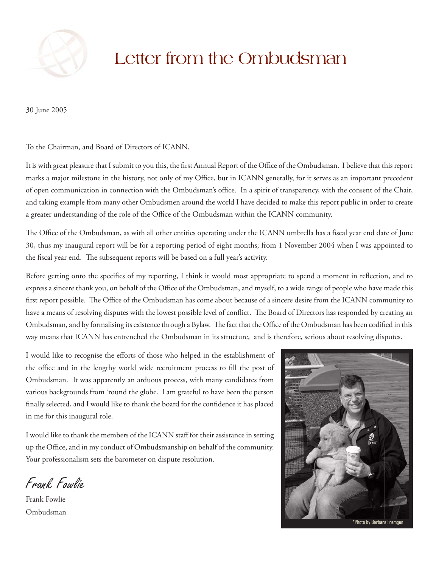

# Letter from the Ombudsman

30 June 2005

To the Chairman, and Board of Directors of ICANN,

It is with great pleasure that I submit to you this, the first Annual Report of the Office of the Ombudsman. I believe that this report marks a major milestone in the history, not only of my Office, but in ICANN generally, for it serves as an important precedent of open communication in connection with the Ombudsman's office. In a spirit of transparency, with the consent of the Chair, and taking example from many other Ombudsmen around the world I have decided to make this report public in order to create a greater understanding of the role of the Office of the Ombudsman within the ICANN community.

The Office of the Ombudsman, as with all other entities operating under the ICANN umbrella has a fiscal year end date of June 30, thus my inaugural report will be for a reporting period of eight months; from 1 November 2004 when I was appointed to the fiscal year end. The subsequent reports will be based on a full year's activity.

Before getting onto the specifics of my reporting, I think it would most appropriate to spend a moment in reflection, and to express a sincere thank you, on behalf of the Office of the Ombudsman, and myself, to a wide range of people who have made this first report possible. The Office of the Ombudsman has come about because of a sincere desire from the ICANN community to have a means of resolving disputes with the lowest possible level of conflict. The Board of Directors has responded by creating an Ombudsman, and by formalising its existence through a Bylaw. The fact that the Office of the Ombudsman has been codified in this way means that ICANN has entrenched the Ombudsman in its structure, and is therefore, serious about resolving disputes.

I would like to recognise the efforts of those who helped in the establishment of the office and in the lengthy world wide recruitment process to fill the post of Ombudsman. It was apparently an arduous process, with many candidates from various backgrounds from 'round the globe. I am grateful to have been the person finally selected, and I would like to thank the board for the confidence it has placed in me for this inaugural role.

I would like to thank the members of the ICANN staff for their assistance in setting up the Office, and in my conduct of Ombudsmanship on behalf of the community. Your professionalism sets the barometer on dispute resolution.

Frank Fowlie

Frank Fowlie Ombudsman

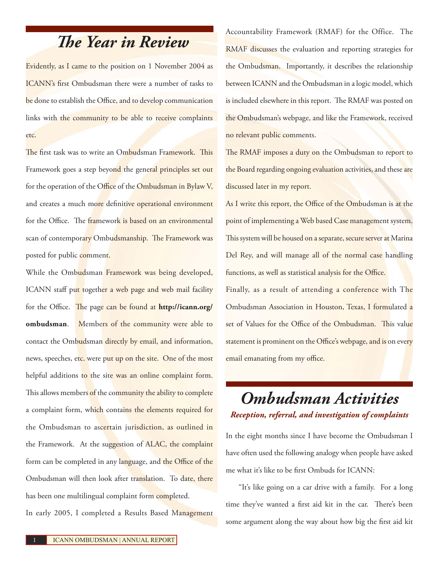# *The Year in Review*

Evidently, as I came to the position on 1 November 2004 as ICANN's first Ombudsman there were a number of tasks to be done to establish the Office, and to develop communication links with the community to be able to receive complaints etc.

The first task was to write an Ombudsman Framework. This Framework goes a step beyond the general principles set out for the operation of the Office of the Ombudsman in Bylaw V, and creates a much more definitive operational environment for the Office. The framework is based on an environmental scan of contemporary Ombudsmanship. The Framework was posted for public comment.

While the Ombudsman Framework was being developed, ICANN staff put together a web page and web mail facility for the Office. The page can be found at **http://icann.org/ ombudsman**. Members of the community were able to contact the Ombudsman directly by email, and information, news, speeches, etc. were put up on the site. One of the most helpful additions to the site was an online complaint form. This allows members of the community the ability to complete a complaint form, which contains the elements required for the Ombudsman to ascertain jurisdiction, as outlined in the Framework. At the suggestion of ALAC, the complaint form can be completed in any language, and the Office of the Ombudsman will then look after translation. To date, there has been one multilingual complaint form completed.

In early 2005, I completed a Results Based Management

Accountability Framework (RMAF) for the Office. The RMAF discusses the evaluation and reporting strategies for the Ombudsman. Importantly, it describes the relationship between ICANN and the Ombudsman in a logic model, which is included elsewhere in this report. The RMAF was posted on the Ombudsman's webpage, and like the Framework, received no relevant public comments.

The RMAF imposes a duty on the Ombudsman to report to the Board regarding ongoing evaluation activities, and these are discussed later in my report.

As I write this report, the Office of the Ombudsman is at the point of implementing a Web based Case management system. This system will be housed on a separate, secure server at Marina Del Rey, and will manage all of the normal case handling functions, as well as statistical analysis for the Office.

Finally, as a result of attending a conference with The Ombudsman Association in Houston, Texas, I formulated a set of Values for the Office of the Ombudsman. This value statement is prominent on the Office's webpage, and is on every email emanating from my office.

# *Ombudsman Activities Reception, referral, and investigation of complaints*

In the eight months since I have become the Ombudsman I have often used the following analogy when people have asked me what it's like to be first Ombuds for ICANN:

"It's like going on a car drive with a family. For a long time they've wanted a first aid kit in the car. There's been some argument along the way about how big the first aid kit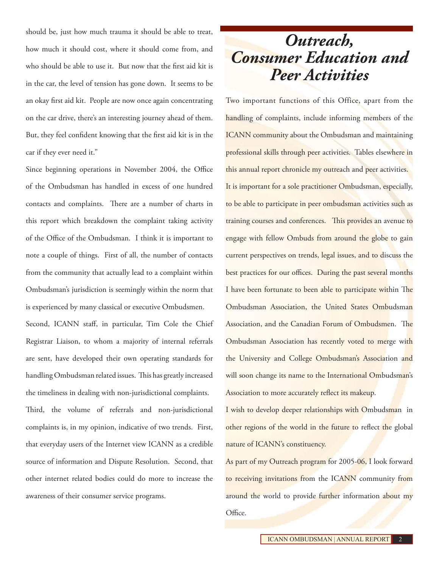should be, just how much trauma it should be able to treat, how much it should cost, where it should come from, and who should be able to use it. But now that the first aid kit is in the car, the level of tension has gone down. It seems to be an okay first aid kit. People are now once again concentrating on the car drive, there's an interesting journey ahead of them. But, they feel confident knowing that the first aid kit is in the car if they ever need it."

Since beginning operations in November 2004, the Office of the Ombudsman has handled in excess of one hundred contacts and complaints. There are a number of charts in this report which breakdown the complaint taking activity of the Office of the Ombudsman. I think it is important to note a couple of things. First of all, the number of contacts from the community that actually lead to a complaint within Ombudsman's jurisdiction is seemingly within the norm that is experienced by many classical or executive Ombudsmen.

Second, ICANN staff, in particular, Tim Cole the Chief Registrar Liaison, to whom a majority of internal referrals are sent, have developed their own operating standards for handling Ombudsman related issues. This has greatly increased the timeliness in dealing with non-jurisdictional complaints. Third, the volume of referrals and non-jurisdictional complaints is, in my opinion, indicative of two trends. First, that everyday users of the Internet view ICANN as a credible source of information and Dispute Resolution. Second, that other internet related bodies could do more to increase the awareness of their consumer service programs.

# *Outreach, Consumer Education and Peer Activities*

Two important functions of this Office, apart from the handling of complaints, include informing members of the ICANN community about the Ombudsman and maintaining professional skills through peer activities. Tables elsewhere in this annual report chronicle my outreach and peer activities. It is important for a sole practitioner Ombudsman, especially, to be able to participate in peer ombudsman activities such as training courses and conferences. This provides an avenue to engage with fellow Ombuds from around the globe to gain current perspectives on trends, legal issues, and to discuss the best practices for our offices. During the past several months I have been fortunate to been able to participate within The Ombudsman Association, the United States Ombudsman Association, and the Canadian Forum of Ombudsmen. The Ombudsman Association has recently voted to merge with the University and College Ombudsman's Association and will soon change its name to the International Ombudsman's Association to more accurately reflect its makeup.

I wish to develop deeper relationships with Ombudsman in other regions of the world in the future to reflect the global nature of ICANN's constituency.

As part of my Outreach program for 2005-06, I look forward to receiving invitations from the ICANN community from around the world to provide further information about my Office.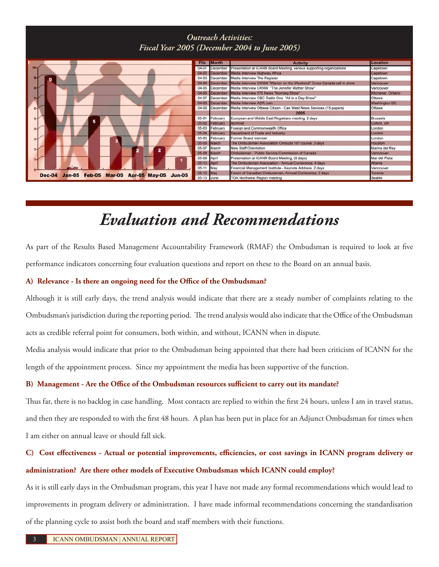## *Outreach Activities: Fiscal Year 2005 (December 2004 to June 2005)*



# *Evaluation and Recommendations*

As part of the Results Based Management Accountability Framework (RMAF) the Ombudsman is required to look at five performance indicators concerning four evaluation questions and report on these to the Board on an annual basis.

#### **A) Relevance - Is there an ongoing need for the Office of the Ombudsman?**

Although it is still early days, the trend analysis would indicate that there are a steady number of complaints relating to the Ombudsman's jurisdiction during the reporting period. The trend analysis would also indicate that the Office of the Ombudsman acts as credible referral point for consumers, both within, and without, ICANN when in dispute.

Media analysis would indicate that prior to the Ombudsman being appointed that there had been criticism of ICANN for the length of the appointment process. Since my appointment the media has been supportive of the function.

#### **B) Management - Are the Office of the Ombudsman resources sufficient to carry out its mandate?**

Thus far, there is no backlog in case handling. Most contacts are replied to within the first 24 hours, unless I am in travel status, and then they are responded to with the first 48 hours. A plan has been put in place for an Adjunct Ombudsman for times when I am either on annual leave or should fall sick.

## **C) Cost effectiveness - Actual or potential improvements, efficiencies, or cost savings in ICANN program delivery or administration? Are there other models of Executive Ombudsman which ICANN could employ?**

As it is still early days in the Ombudsman program, this year I have not made any formal recommendations which would lead to improvements in program delivery or administration. I have made informal recommendations concerning the standardisation of the planning cycle to assist both the board and staff members with their functions.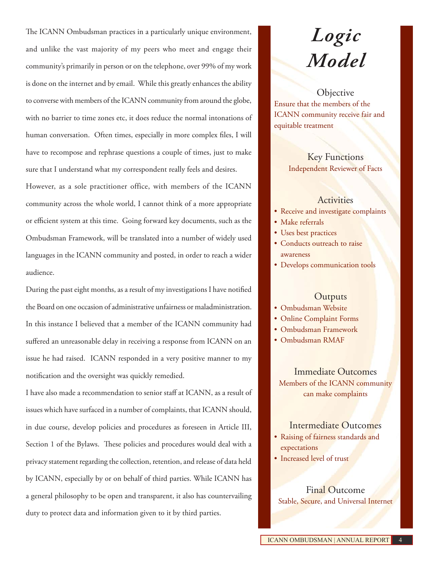The ICANN Ombudsman practices in a particularly unique environment, and unlike the vast majority of my peers who meet and engage their community's primarily in person or on the telephone, over 99% of my work is done on the internet and by email. While this greatly enhances the ability to converse with members of the ICANN community from around the globe, with no barrier to time zones etc, it does reduce the normal intonations of human conversation. Often times, especially in more complex files, I will have to recompose and rephrase questions a couple of times, just to make sure that I understand what my correspondent really feels and desires. However, as a sole practitioner office, with members of the ICANN

community across the whole world, I cannot think of a more appropriate or efficient system at this time. Going forward key documents, such as the Ombudsman Framework, will be translated into a number of widely used languages in the ICANN community and posted, in order to reach a wider audience.

During the past eight months, as a result of my investigations I have notified the Board on one occasion of administrative unfairness or maladministration. In this instance I believed that a member of the ICANN community had suffered an unreasonable delay in receiving a response from ICANN on an issue he had raised. ICANN responded in a very positive manner to my notification and the oversight was quickly remedied.

I have also made a recommendation to senior staff at ICANN, as a result of issues which have surfaced in a number of complaints, that ICANN should, in due course, develop policies and procedures as foreseen in Article III, Section 1 of the Bylaws. These policies and procedures would deal with a privacy statement regarding the collection, retention, and release of data held by ICANN, especially by or on behalf of third parties. While ICANN has a general philosophy to be open and transparent, it also has countervailing duty to protect data and information given to it by third parties.

# *Logic Model*

**Objective** Ensure that the members of the ICANN community receive fair and equitable treatment

> Key Functions Independent Reviewer of Facts

#### **Activities**

- Receive and investigate complaints
- Make referrals •
- Uses best practices •
- Conducts outreach to raise awareness
- Develops communication tools

#### **Outputs**

- Ombudsman Website •
- Online Complaint Forms •
- Ombudsman Framework •
- Ombudsman RMAF •

Immediate Outcomes Members of the ICANN community can make complaints

### Intermediate Outcomes

- Raising of fairness standards and expectations
- Increased level of trus<mark>t</mark>

Final Outcome Stable, Secure, and Universal Internet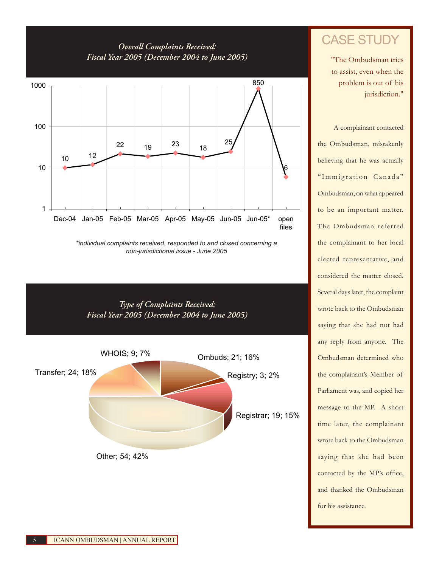## *Overall Complaints Received: Fiscal Year 2005 (December 2004 to June 2005)*



*<sup>\*</sup>individual complaints received, responded to and closed concerning a non-jurisdictional issue - June 2005*





"The Ombudsman tries to assist, even when the problem is out of his jurisdiction."

A complainant contacted the Ombudsman, mistakenly believing that he was actually "Immigration Canada" Ombudsman, on what appeared to be an important matter. The Ombudsman referred the complainant to her local elected representative, and considered the matter closed. Several days later, the complaint wrote back to the Ombudsman saying that she had not had any reply from anyone. The Ombudsman determined who the complainant's Member of Parliament was, and copied her message to the MP. A short time later, the complainant wrote back to the Ombudsman saying that she had been contacted by the MP's office, and thanked the Ombudsman for his assistance.

5 ICANN OMBUDSMAN | ANNUAL REPORT

Other; 54; 42%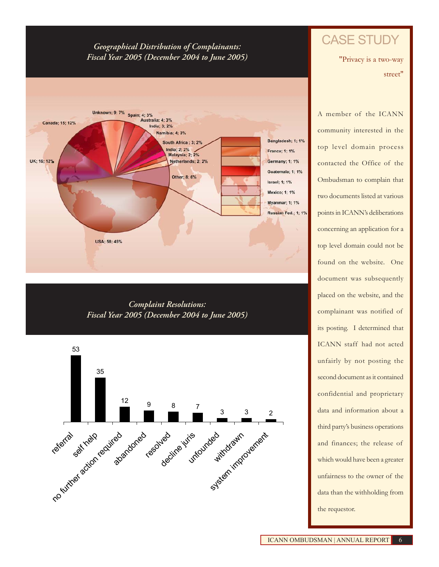### *Geographical Distribution of Complainants: Fiscal Year 2005 (December 2004 to June 2005)*



*Complaint Resolutions: Fiscal Year 2005 (December 2004 to June 2005)*



## CASE STUDY

"Privacy is a two-way street"

A member of the ICANN community interested in the top level domain process contacted the Office of the Ombudsman to complain that two documents listed at various points in ICANN's deliberations concerning an application for a top level domain could not be found on the website. One document was subsequently placed on the website, and the complainant was notified of its posting. I determined that ICANN staff had not acted unfairly by not posting the second document as it contained confidential and proprietary data and information about a third party's business operations and finances; the release of which would have been a greater unfairness to the owner of the data than the withholding from the requestor.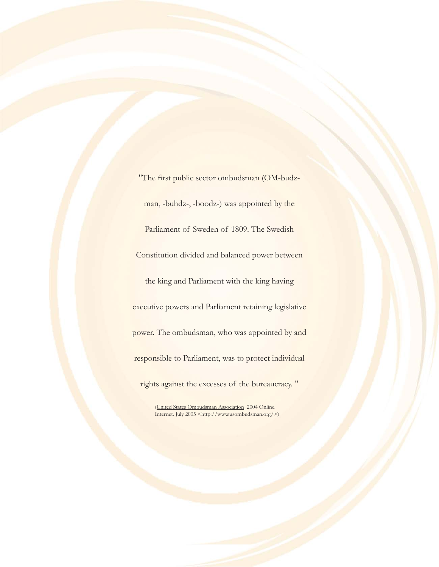"The first public sector ombudsman (OM-budzman, -buhdz-, -boodz-) was appointed by the Parliament of Sweden of 1809. The Swedish Constitution divided and balanced power between the king and Parliament with the king having executive powers and Parliament retaining legislative power. The ombudsman, who was appointed by and responsible to Parliament, was to protect individual rights against the excesses of the bureaucracy. "

<sup>(</sup>United States Ombudsman Association 2004 Online. Internet. July 2005 <http://www.usombudsman.org/>)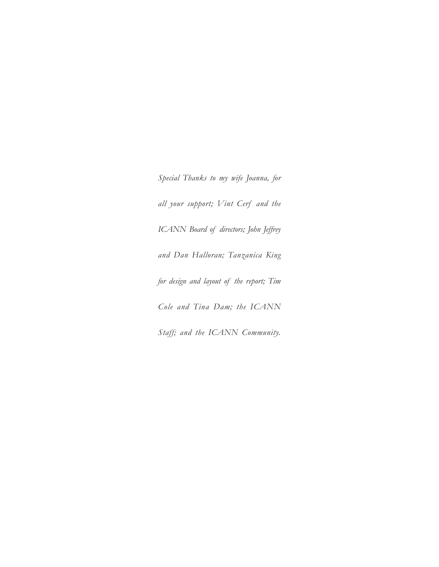*Special Thanks to my wife Joanna, for all your support; Vint Cerf and the ICANN Board of directors; John Jeffrey and Dan Halloran; Tanzanica King for design and layout of the report; Tim Cole and Tina Dam; the ICANN Staff; and the ICANN Community.*